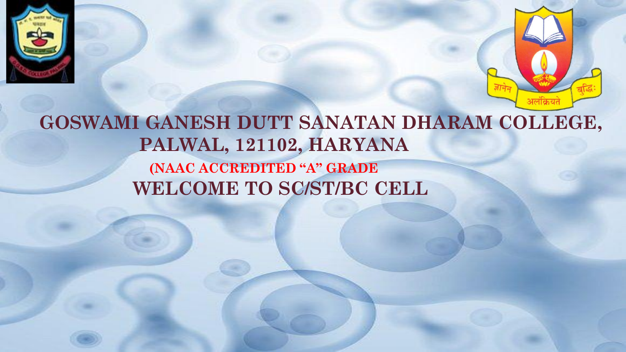



GOSWAMI GANESH DUTT SANATAN DHARAM COLLEGE, PALWAL, 121102, HARYANA (NAAC ACCREDITED "A" GRADE WELCOME TO SC/ST/BC CELL

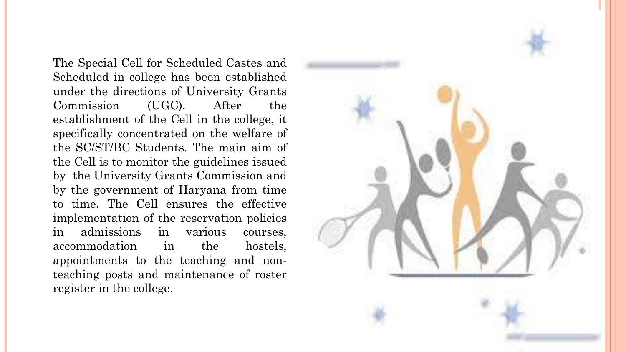The Special Cell for Scheduled Castes and Scheduled in college has been established under the directions of University Grants Commission (UGC). After the establishment of the Cell in the college, it specifically concentrated on the welfare of the SC/ST/BC Students. The main aim of the Cell is to monitor the guidelines issued by the University Grants Commission and by the government of Haryana from time to time. The Cell ensures the effective implementation of the reservation policies in admissions in various courses, accommodation in the hostels, appointments to the teaching and nonteaching posts and maintenance of roster register in the college.

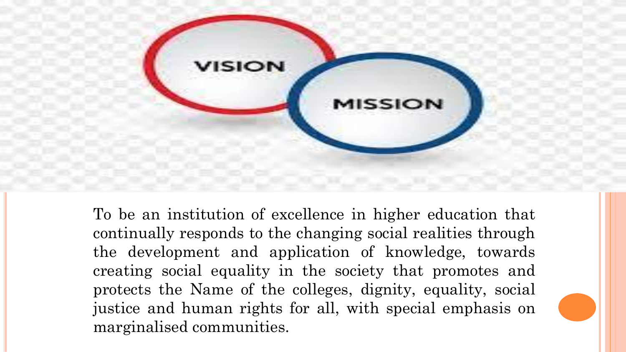

To be an institution of excellence in higher education that continually responds to the changing social realities through the development and application of knowledge, towards creating social equality in the society that promotes and protects the Name of the colleges, dignity, equality, social justice and human rights for all, with special emphasis on marginalised communities.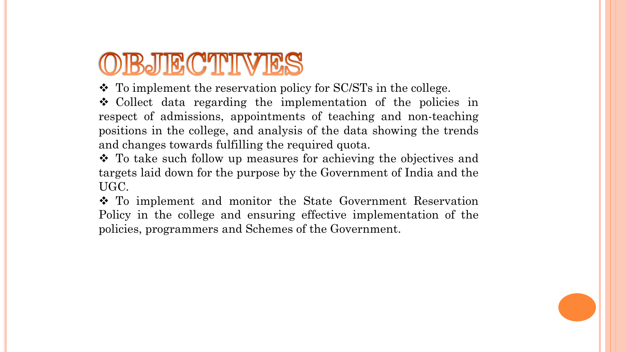# OBJECTIVES

❖ To implement the reservation policy for SC/STs in the college.

❖ Collect data regarding the implementation of the policies in respect of admissions, appointments of teaching and non-teaching positions in the college, and analysis of the data showing the trends and changes towards fulfilling the required quota.

❖ To take such follow up measures for achieving the objectives and targets laid down for the purpose by the Government of India and the UGC.

❖ To implement and monitor the State Government Reservation Policy in the college and ensuring effective implementation of the policies, programmers and Schemes of the Government.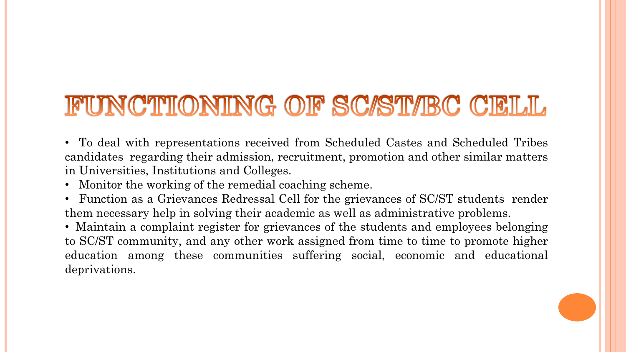# FUNCTIONING OF SC/ST/BC CELL

• To deal with representations received from Scheduled Castes and Scheduled Tribes candidates regarding their admission, recruitment, promotion and other similar matters in Universities, Institutions and Colleges.

- Monitor the working of the remedial coaching scheme.
- Function as a Grievances Redressal Cell for the grievances of SC/ST students render them necessary help in solving their academic as well as administrative problems.

• Maintain a complaint register for grievances of the students and employees belonging to SC/ST community, and any other work assigned from time to time to promote higher education among these communities suffering social, economic and educational deprivations.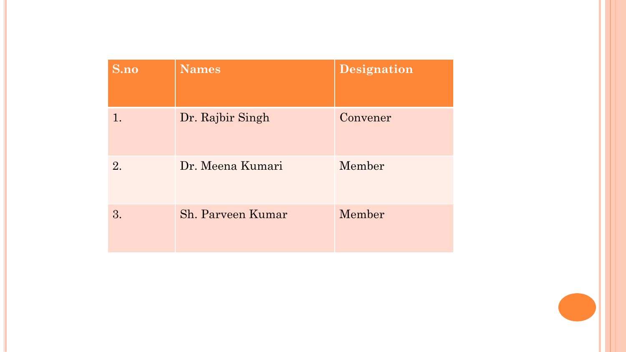| S.no | <b>Names</b>      | Designation |
|------|-------------------|-------------|
| 1.   | Dr. Rajbir Singh  | Convener    |
| 2.   | Dr. Meena Kumari  | Member      |
| 3.   | Sh. Parveen Kumar | Member      |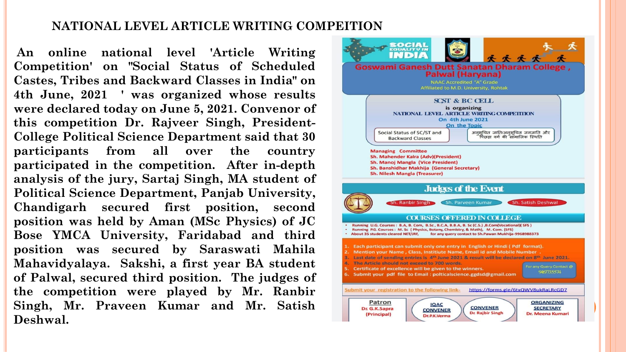### **NATIONAL LEVEL ARTICLE WRITING COMPEITION**

**An online national level 'Article Writing Competition' on "Social Status of Scheduled Castes, Tribes and Backward Classes in India" on 4th June, 2021 ' was organized whose results were declared today on June 5, 2021. Convenor of this competition Dr. Rajveer Singh, President-College Political Science Department said that 30 participants from all over the country participated in the competition. After in-depth analysis of the jury, Sartaj Singh, MA student of Political Science Department, Panjab University, Chandigarh secured first position, second position was held by Aman (MSc Physics) of JC Bose YMCA University, Faridabad and third position was secured by Saraswati Mahila Mahavidyalaya. Sakshi, a first year BA student of Palwal, secured third position. The judges of the competition were played by Mr. Ranbir Singh, Mr. Praveen Kumar and Mr. Satish Deshwal.**

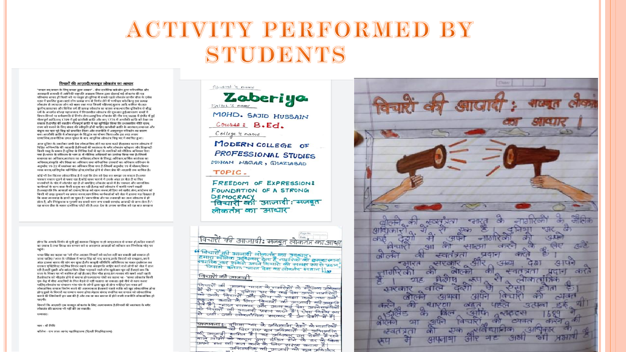## ACTIVITY PERFORMED BY STUDENTS

#### विचारों की आजादी:मजबत लोकतंत्र का आधार

"जनता का,जनता के लिए,जनता द्वारा शासन" - ग्रीस दार्शनिक क्लेओन द्वारा परिभाषित और अठारहवीं शताब्दी में अमेरिकी राष्ट्रपति अब्राहम लिंकन द्वारा दोहराई गई लोकतंत्र की यह परिभाषा शायद हीं किसी को ना मालूम हो।दुनिया में सबसे पहले लोकतंत्र प्राचीन ग्रीस के एथेंस शहर में प्रचलित हुआ।जहां लोग प्रत्यक्ष रूप से निर्णय लेने में भागीदार बने।किन्तु इस प्रत्यक्ष लोकतंत्र से ज्यादातर लोग को बाहर रखा गया जिसमें महिलाएं,गुलाम आदि शामिल थे।अतः कलीन,ताकतवर और विशिष्ट वर्ग हीं प्रत्यक्ष लोकतंत्र का वाहक बना।भारतीय दृष्टिकोण से बौद्ध - पुलान,तापलपर जार ापाराट पंग हा अत्यक्ष लाग्यतंत्र या पालन चना। नारताय पाटनाण संची हैं।<br>धर्म के अन्तर्गत सोलह महाजनपद में विचारशील लोकतंत्र की शुरुआत हुई।साधारण शब्दों में<br>विचार-विमर्श या सर्वसम्मति से निर्णय लेना।आधुनिक गौरवपूर्ण क्रांति,सन् 1789 में हुई फ्रांसीसी क्रांति और सन् 1776 में अमरीकी क्रांति को देखा जा सकता है।इंग्लैंड की रक्तहीन गौरवपूर्ण क्रांति ने यह सुनिश्चित किया कि प्रशासकीय नीति एवम् राज्य को चलाने के लिए संसद की स्वीकृति होनी चाहिए।फ्रांसीसी क्रांति के स्वतंत्रता,समानता और समुत्व का नारा पूरे विश्व को प्रभावित किया और राजनीति में आमूलगुल ज स्थलनवा,समानव<br>बंधुत्व का नारा पूरे विश्व को प्रभावित किया और राजनीति में आमूलग्रुल परिवर्तन का कारण<br>बना।अमरीकी क्रांति ने लोकप्रभुत्व के सिद्धांत का पोषण सामाजिक,राजनीतिक उथल-पुथल के बाद आधुनिक लोकतंत्र विश्व भर में स्थापित हुआ।

.<br>आज दुनिया के तकरीबन सभी देश लोकतांत्रिक होने का दावा करते हैं।इसका कारण लोकतंत्र में आज कुनना न समस्यन । सना का समस्यालम होने का कमा नरस हाउसमा मारने समसम् न किसी वस्तु के समान है।दुनिया के विभिन्न देशों में वहां के नागरिकों को मौलिक अधिकार दिया गया है।भारत के संविधान के भाग III में मौलिक अधिकारों का उल्लेख किया गया है।जिसमें समानता का अधिकार,स्वतंत्रता का अधिकार,शोषण के विरुद्ध अधिकार,धार्मिक स्वतंत्रता का .<br>अधिकार संस्कति और शिक्षा का अधिकार तथा संवैधानिक उपचारों का अधिकार।संविधान के अनुच्छेद 19-22 में स्वतंत्रता का अधिकार दिया गया है।जिसमें अनुच्छेद 19 में बोलना,विचार .<br>व्यक्त करना,शांतिपूर्वक सम्मिलित होना,संगठित होने से लेकर प्रेस की आज़ादी तक शामिल है।

कोई भी देश कितना लोकतांत्रिक है ये वहां कि प्रेस को देख कर समझा जा सकता है।अगर पत्रकार सवाल पूछने से घबरा रहा है,कोई खबर चलाने में उसके अंदर डर बैठा है या फिर सत्ताधीशों के गोद में लोटपोट रहा है तो समझिए लोकतंत्र खतरे में है। पत्रकार और सामाजिक कार्यकर्ता के साथ सत्ता कैसी सलूक कर रही है।यह बातें लोकतंत्र में काफी मायने रखती है।असहमति कि आवाज़ों को दवाना,विपक्ष को खत्म करना,मीडिया को खरीद लेना,आंदोलन को किसी भी तरह कुचलने का प्रयास करना,सामाजिक कार्यकर्ताओं को जेल में डालना यह दिखाता है कि सत्ता तानाशाह के हाथों जा चुका है।"स्वाभाविक तौर पर तनाशाही का जन्म लोकतंत्र से ही होता है, और निरंकुशता व गुलामी का सबसे चरम रूप सबसे स्वच्छंद आजादी से जन्म लेता है।"-.<br>यह कथन ग्रीस के महान दार्शनिक प्लेटो की है।अतः देश के तमाम नागरिक को यह बात समझना

होगा कि आपके निर्णय से चुनी हुई सरकार निरंकुश ना हो जाए।जनता से रूबरू हो,कठिन सवालों .<br>का जवाब दे तथा विपक्ष का सम्मान करे व असहमत आवाज़ों को स्वीकार कर निर्णायक मोड पर पहंचे

भगत सिंह का कहना था 'जो चीज आज़ाद विचारों को बर्दाश्त नहीं कर सकती उसे समाप्त हो जाना चाहिए।"आज के परिप्रेक्ष्य में भगत सिंह को याद करना,उनके विचारों को समझना,अपने अंदर ढालना समय की मांग बन चुका है।गैर कानूनी गतिविधि अधिनियम का गलत इस्तेमाल कर सरकार एक्टिविस्ट को,भिन्न विचार रखने तथा असहमति जाहिर करने वाले लोगों को जेल में डाल रही है।वहीं दूसरी ओर सांप्रदायिक हिंसा भड़काने वाले लोग खुलेआम घूम रहें हैं।यहां तक कि सत्ता के शिखर पर भी काबिज हो रहें हैं।आए दिन भीड़ हत्या,दंगा-फसाद की खबरें आती रहती है।लोकतंत्र को भीडतंत्र होने से बचाना होगा।महात्मा गांधी का कहना था - "सच्चा लोकतंत्र किसी एक केंद्र में बीस आदमियों के मिल बैठने से नहीं चलाया जा सकता। इसे नीचे से काम करना चाहिए,लोकतंत्र का संचालन गांव-गांव के लोगों द्वारा खुद से होना चाहिए। इस वक़्त हमें लोकतांत्रिक समाज निर्माण करने की आवश्यकता है।सबसे पहले व्यक्ति को खुद लोकतांत्रिक होना होगा,दूसरे के विचारों का सम्मान करना होगा।बेहतर संवाद स्थापित कर समाज को लोकतांत्रिक .<br>बनाने की जिम्मेवारी हम सब की है और तब जा कर समाज में होने वाली राजनीति लोकतांत्रिक हो

विचारों कि आज़ादी एक मजबूत लोकतंत्र के लिए अत्यावश्यक है।विचारों की स्वतंत्रता के बगैर लोकतंत्र की कल्पना भी नहीं की जा सकती।

धन्यवाद।

नाम - श्री निशि

कॉलेज - राम लाल आनंद महाविद्यालय (दिल्ली विश्वविद्यालय)